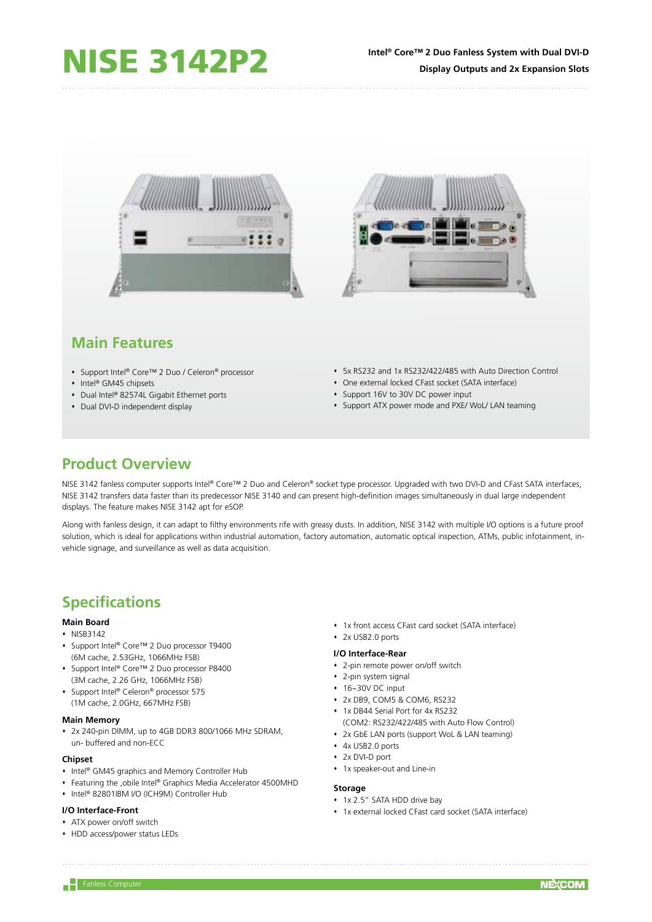

# **Main Features**

- Support Intel® Core™ 2 Duo / Celeron® processor
- Intel® GM45 chipsets
- ◆ Dual Intel® 82574L Gigabit Ethernet ports
- Dual DVI-D independent display
- 5x RS232 and 1x RS232/422/485 with Auto Direction Control
- One external locked CFast socket (SATA interface)
	- Support 16V to 30V DC power input
- Support ATX power mode and PXE/ WoL/ LAN teaming

## **Product Overview**

NISE 3142 fanless computer supports Intel® Core™ 2 Duo and Celeron® socket type processor. Upgraded with two DVI-D and CFast SATA interfaces, NISE 3142 transfers data faster than its predecessor NISE 3140 and can present high-definition images simultaneously in dual large independent displays. The feature makes NISE 3142 apt for eSOP.

Along with fanless design, it can adapt to filthy environments rife with greasy dusts. In addition, NISE 3142 with multiple I/O options is a future proof solution, which is ideal for applications within industrial automation, factory automation, automatic optical inspection, ATMs, public infotainment, invehicle signage, and surveillance as well as data acquisition.

# **Specifications**

## **Main Board**

- $\cdot$  NISB3142
- Support Intel® Core™ 2 Duo processor T9400 (6M cache, 2.53GHz, 1066MHz FSB)
- Support Intel® Core™ 2 Duo processor P8400 (3M cache, 2.26 GHz, 1066MHz FSB)
- ◆ Support Intel® Celeron® processor 575 (1M cache, 2.0GHz, 667MHz FSB)

#### **Main Memory**

 2x 240-pin DIMM, up to 4GB DDR3 800/1066 MHz SDRAM, un- buffered and non-ECC

## **Chipset**

- Intel® GM45 graphics and Memory Controller Hub
- Featuring the ,obile Intel® Graphics Media Accelerator 4500MHD
- Intel® 82801IBM I/O (ICH9M) Controller Hub

## **I/O Interface-Front**

- ATX power on/off switch
- HDD access/power status LEDs
- 1x front access CFast card socket (SATA interface)
- 2x USB2.0 ports

#### **I/O Interface-Rear**

- 2-pin remote power on/off switch
- 2-pin system signal
- 16~30V DC input
- 2x DB9, COM5 & COM6, RS232
- 1x DB44 Serial Port for 4x RS232
	- (COM2: RS232/422/485 with Auto Flow Control)
- 2x GbE LAN ports (support WoL & LAN teaming)
- 4x USB2.0 ports
- 2x DVI-D port
- 1x speaker-out and Line-in

#### **Storage**

- **1x 2.5" SATA HDD drive bay**
- 1x external locked CFast card socket (SATA interface)